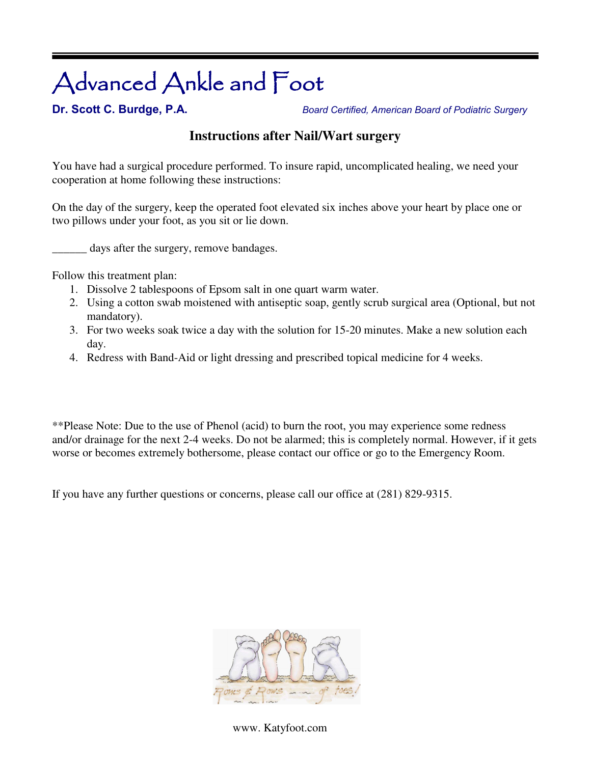# Advanced Ankle and Foot

**Dr. Scott C. Burdge, P.A.** *Board Certified, American Board of Podiatric Surgery* 

### **Instructions after Nail/Wart surgery**

You have had a surgical procedure performed. To insure rapid, uncomplicated healing, we need your cooperation at home following these instructions:

On the day of the surgery, keep the operated foot elevated six inches above your heart by place one or two pillows under your foot, as you sit or lie down.

days after the surgery, remove bandages.

Follow this treatment plan:

- 1. Dissolve 2 tablespoons of Epsom salt in one quart warm water.
- 2. Using a cotton swab moistened with antiseptic soap, gently scrub surgical area (Optional, but not mandatory).
- 3. For two weeks soak twice a day with the solution for 15-20 minutes. Make a new solution each day.
- 4. Redress with Band-Aid or light dressing and prescribed topical medicine for 4 weeks.

\*\*Please Note: Due to the use of Phenol (acid) to burn the root, you may experience some redness and/or drainage for the next 2-4 weeks. Do not be alarmed; this is completely normal. However, if it gets worse or becomes extremely bothersome, please contact our office or go to the Emergency Room.

If you have any further questions or concerns, please call our office at (281) 829-9315.



www. Katyfoot.com